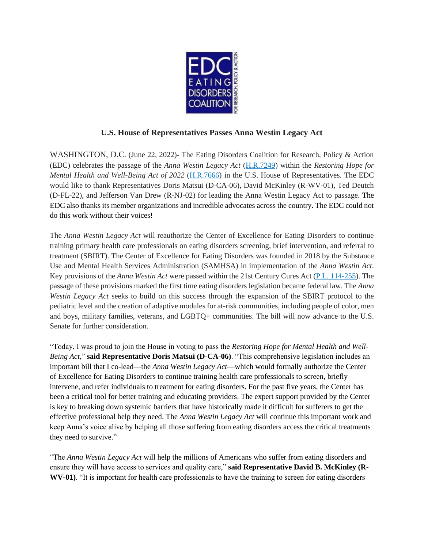

## **U.S. House of Representatives Passes Anna Westin Legacy Act**

WASHINGTON, D.C. (June 22, 2022)- The Eating Disorders Coalition for Research, Policy & Action (EDC) celebrates the passage of the *Anna Westin Legacy Act* [\(H.R.7249\)](https://www.congress.gov/bill/117th-congress/house-bill/7249?q=%7B%22search%22%3A%5B%22congressId%3A117+AND+billStatus%3A%5C%22Introduced%5C%22%22%5D%7D&s=1&r=11) within the *Restoring Hope for Mental Health and Well-Being Act of 2022* [\(H.R.7666\)](https://www.congress.gov/bill/117th-congress/house-bill/7666?s=1&r=2) in the U.S. House of Representatives. The EDC would like to thank Representatives Doris Matsui (D-CA-06), David McKinley (R-WV-01), Ted Deutch (D-FL-22), and Jefferson Van Drew (R-NJ-02) for leading the Anna Westin Legacy Act to passage. The EDC also thanks its member organizations and incredible advocates across the country. The EDC could not do this work without their voices!

The *Anna Westin Legacy Act* will reauthorize the Center of Excellence for Eating Disorders to continue training primary health care professionals on eating disorders screening, brief intervention, and referral to treatment (SBIRT). The Center of Excellence for Eating Disorders was founded in 2018 by the Substance Use and Mental Health Services Administration (SAMHSA) in implementation of the *Anna Westin Act*. Key provisions of the *Anna Westin Act* were passed within the 21st Century Cures Act [\(P.L. 114-255\)](https://www.congress.gov/114/plaws/publ255/PLAW-114publ255.pdf). The passage of these provisions marked the first time eating disorders legislation became federal law. The *Anna Westin Legacy Act* seeks to build on this success through the expansion of the SBIRT protocol to the pediatric level and the creation of adaptive modules for at-risk communities, including people of color, men and boys, military families, veterans, and LGBTQ+ communities. The bill will now advance to the U.S. Senate for further consideration.

"Today, I was proud to join the House in voting to pass the *Restoring Hope for Mental Health and Well-Being Act*," **said Representative Doris Matsui (D-CA-06)**. "This comprehensive legislation includes an important bill that I co-lead—the *Anna Westin Legacy Act*—which would formally authorize the Center of Excellence for Eating Disorders to continue training health care professionals to screen, briefly intervene, and refer individuals to treatment for eating disorders. For the past five years, the Center has been a critical tool for better training and educating providers. The expert support provided by the Center is key to breaking down systemic barriers that have historically made it difficult for sufferers to get the effective professional help they need. The *Anna Westin Legacy Act* will continue this important work and keep Anna's voice alive by helping all those suffering from eating disorders access the critical treatments they need to survive."

"The *Anna Westin Legacy Act* will help the millions of Americans who suffer from eating disorders and ensure they will have access to services and quality care," **said Representative David B. McKinley (R-WV-01)**. "It is important for health care professionals to have the training to screen for eating disorders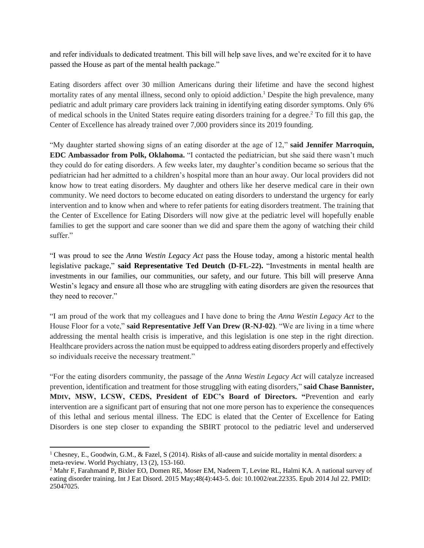and refer individuals to dedicated treatment. This bill will help save lives, and we're excited for it to have passed the House as part of the mental health package."

Eating disorders affect over 30 million Americans during their lifetime and have the second highest mortality rates of any mental illness, second only to opioid addiction.<sup>1</sup> Despite the high prevalence, many pediatric and adult primary care providers lack training in identifying eating disorder symptoms. Only 6% of medical schools in the United States require eating disorders training for a degree. <sup>2</sup> To fill this gap, the Center of Excellence has already trained over 7,000 providers since its 2019 founding.

"My daughter started showing signs of an eating disorder at the age of 12," **said Jennifer Marroquin, EDC Ambassador from Polk, Oklahoma.** "I contacted the pediatrician, but she said there wasn't much they could do for eating disorders. A few weeks later, my daughter's condition became so serious that the pediatrician had her admitted to a children's hospital more than an hour away. Our local providers did not know how to treat eating disorders. My daughter and others like her deserve medical care in their own community. We need doctors to become educated on eating disorders to understand the urgency for early intervention and to know when and where to refer patients for eating disorders treatment. The training that the Center of Excellence for Eating Disorders will now give at the pediatric level will hopefully enable families to get the support and care sooner than we did and spare them the agony of watching their child suffer."

"I was proud to see the *Anna Westin Legacy Act* pass the House today, among a historic mental health legislative package," **said Representative Ted Deutch (D-FL-22).** "Investments in mental health are investments in our families, our communities, our safety, and our future. This bill will preserve Anna Westin's legacy and ensure all those who are struggling with eating disorders are given the resources that they need to recover."

"I am proud of the work that my colleagues and I have done to bring the *Anna Westin Legacy Act* to the House Floor for a vote," **said Representative Jeff Van Drew (R-NJ-02)**. "We are living in a time where addressing the mental health crisis is imperative, and this legislation is one step in the right direction. Healthcare providers across the nation must be equipped to address eating disorders properly and effectively so individuals receive the necessary treatment."

"For the eating disorders community, the passage of the *Anna Westin Legacy Act* will catalyze increased prevention, identification and treatment for those struggling with eating disorders," **said Chase Bannister, MDIV, MSW, LCSW, CEDS, President of EDC's Board of Directors. "**Prevention and early intervention are a significant part of ensuring that not one more person has to experience the consequences of this lethal and serious mental illness. The EDC is elated that the Center of Excellence for Eating Disorders is one step closer to expanding the SBIRT protocol to the pediatric level and underserved

<sup>1</sup> Chesney, E., Goodwin, G.M., & Fazel, S (2014). Risks of all-cause and suicide mortality in mental disorders: a meta-review. World Psychiatry, 13 (2), 153-160.

<sup>&</sup>lt;sup>2</sup> Mahr F, Farahmand P, Bixler EO, Domen RE, Moser EM, Nadeem T, Levine RL, Halmi KA. A national survey of eating disorder training. Int J Eat Disord. 2015 May;48(4):443-5. doi: 10.1002/eat.22335. Epub 2014 Jul 22. PMID: 25047025.